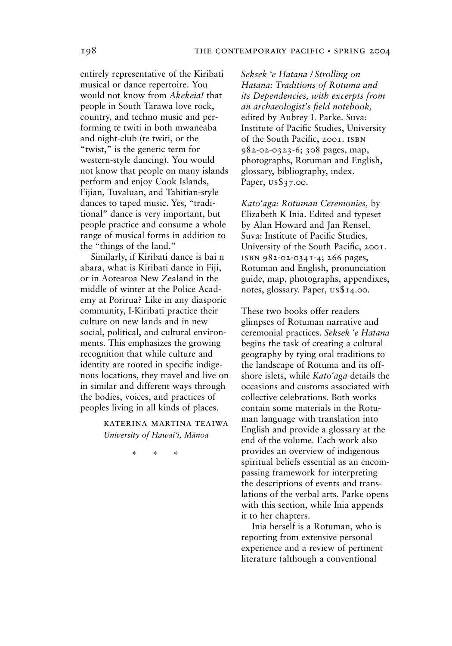entirely representative of the Kiribati musical or dance repertoire. You would not know from *Akekeia!* that people in South Tarawa love rock, country, and techno music and performing te twiti in both mwaneaba and night-club (te twiti, or the "twist," is the generic term for western-style dancing). You would not know that people on many islands perform and enjoy Cook Islands, Fijian, Tuvaluan, and Tahitian-style dances to taped music. Yes, "traditional" dance is very important, but people practice and consume a whole range of musical forms in addition to the "things of the land."

Similarly, if Kiribati dance is bai n abara, what is Kiribati dance in Fiji, or in Aotearoa New Zealand in the middle of winter at the Police Academy at Porirua? Like in any diasporic community, I-Kiribati practice their culture on new lands and in new social, political, and cultural environments. This emphasizes the growing recognition that while culture and identity are rooted in specific indigenous locations, they travel and live on in similar and different ways through the bodies, voices, and practices of peoples living in all kinds of places.

> katerina martina teaiwa *University of Hawai'i, Mänoa*

> > \* \* \*

*Seksek 'e Hatana / Strolling on Hatana: Traditions of Rotuma and its Dependencies, with excerpts from an archaeologist's field notebook,* edited by Aubrey L Parke. Suva: Institute of Pacific Studies, University of the South Pacific, 2001. isbn 982-02-0323-6; 308 pages, map, photographs, Rotuman and English, glossary, bibliography, index. Paper, us\$37.00.

*Kato'aga: Rotuman Ceremonies,* by Elizabeth K Inia. Edited and typeset by Alan Howard and Jan Rensel. Suva: Institute of Pacific Studies, University of the South Pacific, 2001. isbn 982-02-0341-4; 266 pages, Rotuman and English, pronunciation guide, map, photographs, appendixes, notes, glossary. Paper, us\$14.00.

These two books offer readers glimpses of Rotuman narrative and ceremonial practices. *Seksek 'e Hatana* begins the task of creating a cultural geography by tying oral traditions to the landscape of Rotuma and its offshore islets, while *Kato'aga* details the occasions and customs associated with collective celebrations. Both works contain some materials in the Rotuman language with translation into English and provide a glossary at the end of the volume. Each work also provides an overview of indigenous spiritual beliefs essential as an encompassing framework for interpreting the descriptions of events and translations of the verbal arts. Parke opens with this section, while Inia appends it to her chapters.

Inia herself is a Rotuman, who is reporting from extensive personal experience and a review of pertinent literature (although a conventional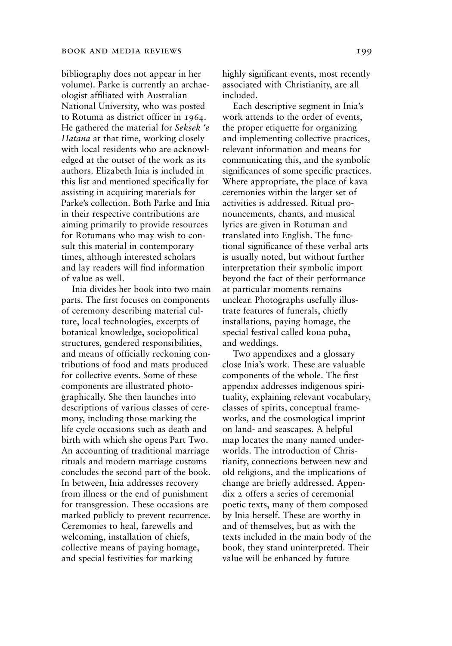bibliography does not appear in her volume). Parke is currently an archaeologist affiliated with Australian National University, who was posted to Rotuma as district officer in 1964. He gathered the material for *Seksek 'e Hatana* at that time, working closely with local residents who are acknowledged at the outset of the work as its authors. Elizabeth Inia is included in this list and mentioned specifically for assisting in acquiring materials for Parke's collection. Both Parke and Inia in their respective contributions are aiming primarily to provide resources for Rotumans who may wish to consult this material in contemporary times, although interested scholars and lay readers will find information of value as well.

Inia divides her book into two main parts. The first focuses on components of ceremony describing material culture, local technologies, excerpts of botanical knowledge, sociopolitical structures, gendered responsibilities, and means of officially reckoning contributions of food and mats produced for collective events. Some of these components are illustrated photographically. She then launches into descriptions of various classes of ceremony, including those marking the life cycle occasions such as death and birth with which she opens Part Two. An accounting of traditional marriage rituals and modern marriage customs concludes the second part of the book. In between, Inia addresses recovery from illness or the end of punishment for transgression. These occasions are marked publicly to prevent recurrence. Ceremonies to heal, farewells and welcoming, installation of chiefs, collective means of paying homage, and special festivities for marking

highly significant events, most recently associated with Christianity, are all included.

Each descriptive segment in Inia's work attends to the order of events, the proper etiquette for organizing and implementing collective practices, relevant information and means for communicating this, and the symbolic significances of some specific practices. Where appropriate, the place of kava ceremonies within the larger set of activities is addressed. Ritual pronouncements, chants, and musical lyrics are given in Rotuman and translated into English. The functional significance of these verbal arts is usually noted, but without further interpretation their symbolic import beyond the fact of their performance at particular moments remains unclear. Photographs usefully illustrate features of funerals, chiefly installations, paying homage, the special festival called koua puha, and weddings.

Two appendixes and a glossary close Inia's work. These are valuable components of the whole. The first appendix addresses indigenous spirituality, explaining relevant vocabulary, classes of spirits, conceptual frameworks, and the cosmological imprint on land- and seascapes. A helpful map locates the many named underworlds. The introduction of Christianity, connections between new and old religions, and the implications of change are briefly addressed. Appendix 2 offers a series of ceremonial poetic texts, many of them composed by Inia herself. These are worthy in and of themselves, but as with the texts included in the main body of the book, they stand uninterpreted. Their value will be enhanced by future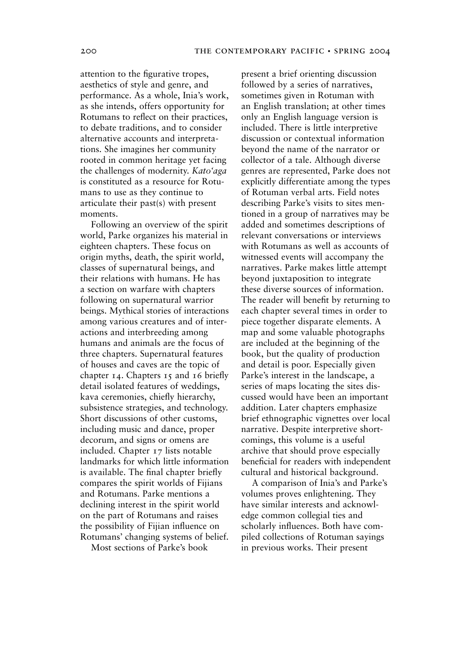attention to the figurative tropes, aesthetics of style and genre, and performance. As a whole, Inia's work, as she intends, offers opportunity for Rotumans to reflect on their practices, to debate traditions, and to consider alternative accounts and interpretations. She imagines her community rooted in common heritage yet facing the challenges of modernity. *Kato'aga* is constituted as a resource for Rotumans to use as they continue to articulate their past(s) with present moments.

Following an overview of the spirit world, Parke organizes his material in eighteen chapters. These focus on origin myths, death, the spirit world, classes of supernatural beings, and their relations with humans. He has a section on warfare with chapters following on supernatural warrior beings. Mythical stories of interactions among various creatures and of interactions and interbreeding among humans and animals are the focus of three chapters. Supernatural features of houses and caves are the topic of chapter  $14$ . Chapters  $15$  and  $16$  briefly detail isolated features of weddings, kava ceremonies, chiefly hierarchy, subsistence strategies, and technology. Short discussions of other customs, including music and dance, proper decorum, and signs or omens are included. Chapter 17 lists notable landmarks for which little information is available. The final chapter briefly compares the spirit worlds of Fijians and Rotumans. Parke mentions a declining interest in the spirit world on the part of Rotumans and raises the possibility of Fijian influence on Rotumans' changing systems of belief.

Most sections of Parke's book

present a brief orienting discussion followed by a series of narratives, sometimes given in Rotuman with an English translation; at other times only an English language version is included. There is little interpretive discussion or contextual information beyond the name of the narrator or collector of a tale. Although diverse genres are represented, Parke does not explicitly differentiate among the types of Rotuman verbal arts. Field notes describing Parke's visits to sites mentioned in a group of narratives may be added and sometimes descriptions of relevant conversations or interviews with Rotumans as well as accounts of witnessed events will accompany the narratives. Parke makes little attempt beyond juxtaposition to integrate these diverse sources of information. The reader will benefit by returning to each chapter several times in order to piece together disparate elements. A map and some valuable photographs are included at the beginning of the book, but the quality of production and detail is poor. Especially given Parke's interest in the landscape, a series of maps locating the sites discussed would have been an important addition. Later chapters emphasize brief ethnographic vignettes over local narrative. Despite interpretive shortcomings, this volume is a useful archive that should prove especially beneficial for readers with independent cultural and historical background.

A comparison of Inia's and Parke's volumes proves enlightening. They have similar interests and acknowledge common collegial ties and scholarly influences. Both have compiled collections of Rotuman sayings in previous works. Their present